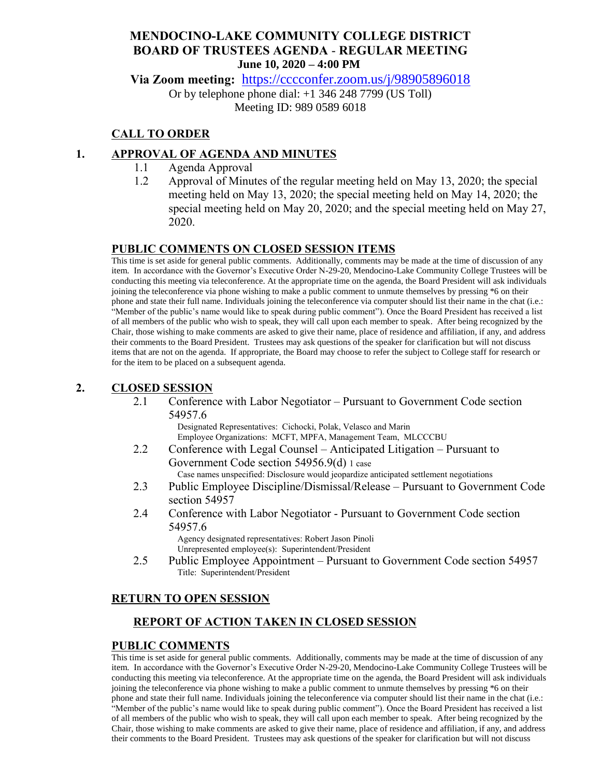## **MENDOCINO-LAKE COMMUNITY COLLEGE DISTRICT BOARD OF TRUSTEES AGENDA** - **REGULAR MEETING June 10, 2020 – 4:00 PM**

**Via Zoom meeting:** <https://cccconfer.zoom.us/j/98905896018>

Or by telephone phone dial: +1 346 248 7799 (US Toll) Meeting ID: 989 0589 6018

### **CALL TO ORDER**

### **1. APPROVAL OF AGENDA AND MINUTES**

- 1.1 Agenda Approval
- 1.2 Approval of Minutes of the regular meeting held on May 13, 2020; the special meeting held on May 13, 2020; the special meeting held on May 14, 2020; the special meeting held on May 20, 2020; and the special meeting held on May 27, 2020.

## **PUBLIC COMMENTS ON CLOSED SESSION ITEMS**

This time is set aside for general public comments. Additionally, comments may be made at the time of discussion of any item. In accordance with the Governor's Executive Order N-29-20, Mendocino-Lake Community College Trustees will be conducting this meeting via teleconference. At the appropriate time on the agenda, the Board President will ask individuals joining the teleconference via phone wishing to make a public comment to unmute themselves by pressing \*6 on their phone and state their full name. Individuals joining the teleconference via computer should list their name in the chat (i.e.: "Member of the public's name would like to speak during public comment"). Once the Board President has received a list of all members of the public who wish to speak, they will call upon each member to speak. After being recognized by the Chair, those wishing to make comments are asked to give their name, place of residence and affiliation, if any, and address their comments to the Board President. Trustees may ask questions of the speaker for clarification but will not discuss items that are not on the agenda. If appropriate, the Board may choose to refer the subject to College staff for research or for the item to be placed on a subsequent agenda.

### **2. CLOSED SESSION**

2.1 Conference with Labor Negotiator – Pursuant to Government Code section 54957.6

Designated Representatives: Cichocki, Polak, Velasco and Marin Employee Organizations: MCFT, MPFA, Management Team, MLCCCBU

- 2.2 Conference with Legal Counsel Anticipated Litigation Pursuant to Government Code section 54956.9(d) 1 case Case names unspecified: Disclosure would jeopardize anticipated settlement negotiations
- 2.3 Public Employee Discipline/Dismissal/Release Pursuant to Government Code section 54957
- 2.4 Conference with Labor Negotiator Pursuant to Government Code section 54957.6

Agency designated representatives: Robert Jason Pinoli Unrepresented employee(s): Superintendent/President

2.5 Public Employee Appointment – Pursuant to Government Code section 54957 Title: Superintendent/President

# **RETURN TO OPEN SESSION**

# **REPORT OF ACTION TAKEN IN CLOSED SESSION**

### **PUBLIC COMMENTS**

This time is set aside for general public comments. Additionally, comments may be made at the time of discussion of any item. In accordance with the Governor's Executive Order N-29-20, Mendocino-Lake Community College Trustees will be conducting this meeting via teleconference. At the appropriate time on the agenda, the Board President will ask individuals joining the teleconference via phone wishing to make a public comment to unmute themselves by pressing \*6 on their phone and state their full name. Individuals joining the teleconference via computer should list their name in the chat (i.e.: "Member of the public's name would like to speak during public comment"). Once the Board President has received a list of all members of the public who wish to speak, they will call upon each member to speak. After being recognized by the Chair, those wishing to make comments are asked to give their name, place of residence and affiliation, if any, and address their comments to the Board President. Trustees may ask questions of the speaker for clarification but will not discuss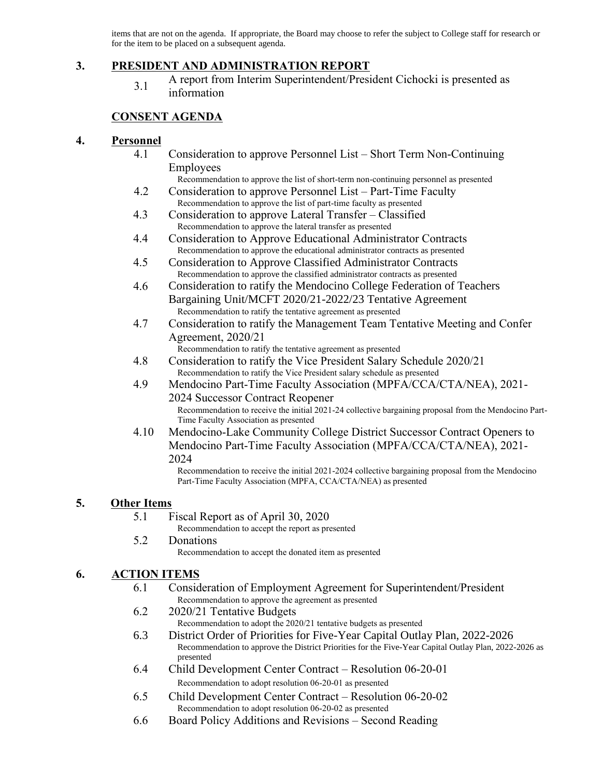items that are not on the agenda. If appropriate, the Board may choose to refer the subject to College staff for research or for the item to be placed on a subsequent agenda.

### **3. PRESIDENT AND ADMINISTRATION REPORT**

3.1 A report from Interim Superintendent/President Cichocki is presented as information

#### **CONSENT AGENDA**

#### **4. Personnel**

- 4.1 Consideration to approve Personnel List Short Term Non-Continuing Employees
- Recommendation to approve the list of short-term non-continuing personnel as presented 4.2 Consideration to approve Personnel List – Part-Time Faculty
- Recommendation to approve the list of part-time faculty as presented
- 4.3 Consideration to approve Lateral Transfer Classified Recommendation to approve the lateral transfer as presented
- 4.4 Consideration to Approve Educational Administrator Contracts Recommendation to approve the educational administrator contracts as presented
- 4.5 Consideration to Approve Classified Administrator Contracts Recommendation to approve the classified administrator contracts as presented
- 4.6 Consideration to ratify the Mendocino College Federation of Teachers Bargaining Unit/MCFT 2020/21-2022/23 Tentative Agreement Recommendation to ratify the tentative agreement as presented
- 4.7 Consideration to ratify the Management Team Tentative Meeting and Confer Agreement, 2020/21
- Recommendation to ratify the tentative agreement as presented 4.8 Consideration to ratify the Vice President Salary Schedule 2020/21
- Recommendation to ratify the Vice President salary schedule as presented 4.9 Mendocino Part-Time Faculty Association (MPFA/CCA/CTA/NEA), 2021-
	- 2024 Successor Contract Reopener Recommendation to receive the initial 2021-24 collective bargaining proposal from the Mendocino Part-Time Faculty Association as presented
- 4.10 Mendocino-Lake Community College District Successor Contract Openers to Mendocino Part-Time Faculty Association (MPFA/CCA/CTA/NEA), 2021- 2024

Recommendation to receive the initial 2021-2024 collective bargaining proposal from the Mendocino Part-Time Faculty Association (MPFA, CCA/CTA/NEA) as presented

#### **5. Other Items**

5.1 Fiscal Report as of April 30, 2020

Recommendation to accept the report as presented

#### 5.2 Donations

Recommendation to accept the donated item as presented

#### **6. ACTION ITEMS**

- 6.1 Consideration of Employment Agreement for Superintendent/President Recommendation to approve the agreement as presented
- 6.2 2020/21 Tentative Budgets Recommendation to adopt the 2020/21 tentative budgets as presented
- 6.3 District Order of Priorities for Five-Year Capital Outlay Plan, 2022-2026 Recommendation to approve the District Priorities for the Five-Year Capital Outlay Plan, 2022-2026 as presented
- 6.4 Child Development Center Contract Resolution 06-20-01 Recommendation to adopt resolution 06-20-01 as presented
- 6.5 Child Development Center Contract Resolution 06-20-02 Recommendation to adopt resolution 06-20-02 as presented
- 6.6 Board Policy Additions and Revisions Second Reading